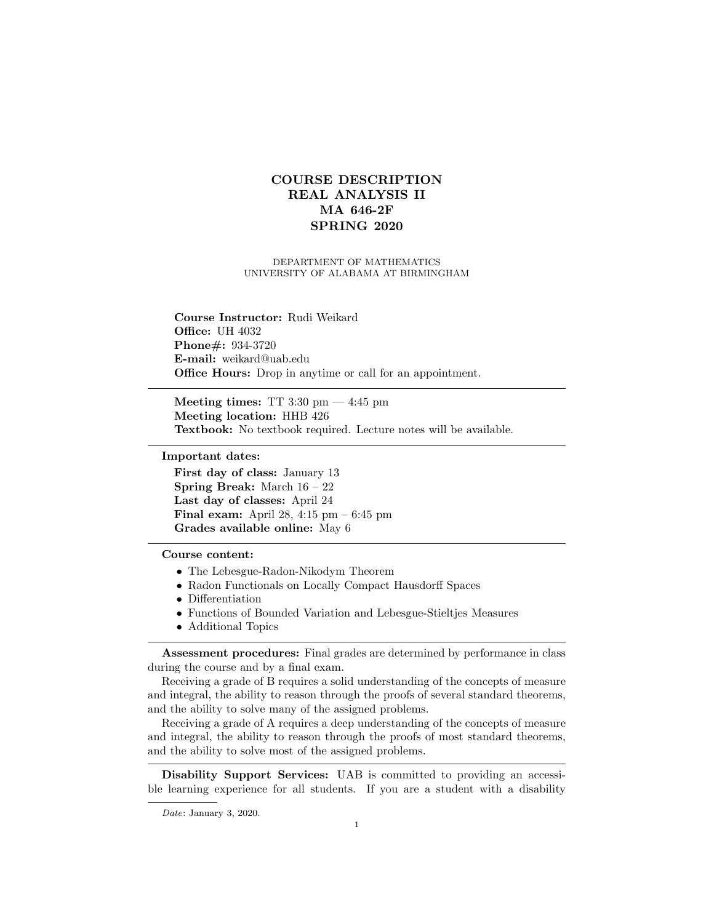## COURSE DESCRIPTION REAL ANALYSIS II MA 646-2F SPRING 2020

## DEPARTMENT OF MATHEMATICS UNIVERSITY OF ALABAMA AT BIRMINGHAM

Course Instructor: Rudi Weikard **Office: UH 4032** Phone#: 934-3720 E-mail: weikard@uab.edu Office Hours: Drop in anytime or call for an appointment.

Meeting times: TT 3:30  $\text{pm} - 4:45 \text{pm}$ Meeting location: HHB 426 Textbook: No textbook required. Lecture notes will be available.

Important dates:

First day of class: January 13 Spring Break: March 16 – 22 Last day of classes: April 24 Final exam: April 28, 4:15 pm – 6:45 pm Grades available online: May 6

Course content:

- The Lebesgue-Radon-Nikodym Theorem
- Radon Functionals on Locally Compact Hausdorff Spaces
- Differentiation
- Functions of Bounded Variation and Lebesgue-Stieltjes Measures
- Additional Topics

Assessment procedures: Final grades are determined by performance in class during the course and by a final exam.

Receiving a grade of B requires a solid understanding of the concepts of measure and integral, the ability to reason through the proofs of several standard theorems, and the ability to solve many of the assigned problems.

Receiving a grade of A requires a deep understanding of the concepts of measure and integral, the ability to reason through the proofs of most standard theorems, and the ability to solve most of the assigned problems.

Disability Support Services: UAB is committed to providing an accessible learning experience for all students. If you are a student with a disability

Date: January 3, 2020.